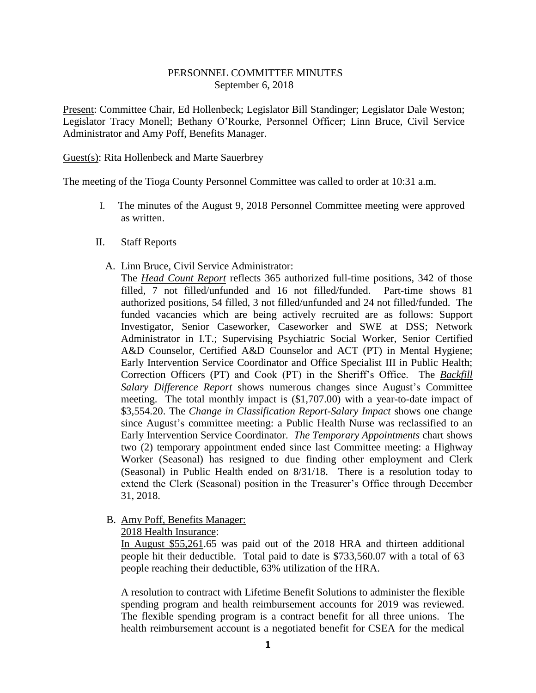## PERSONNEL COMMITTEE MINUTES September 6, 2018

Present: Committee Chair, Ed Hollenbeck; Legislator Bill Standinger; Legislator Dale Weston; Legislator Tracy Monell; Bethany O'Rourke, Personnel Officer; Linn Bruce, Civil Service Administrator and Amy Poff, Benefits Manager.

## Guest(s): Rita Hollenbeck and Marte Sauerbrey

The meeting of the Tioga County Personnel Committee was called to order at 10:31 a.m.

- I. The minutes of the August 9, 2018 Personnel Committee meeting were approved as written.
- II. Staff Reports

## A. Linn Bruce, Civil Service Administrator:

The *Head Count Report* reflects 365 authorized full-time positions, 342 of those filled, 7 not filled/unfunded and 16 not filled/funded. Part-time shows 81 authorized positions, 54 filled, 3 not filled/unfunded and 24 not filled/funded. The funded vacancies which are being actively recruited are as follows: Support Investigator, Senior Caseworker, Caseworker and SWE at DSS; Network Administrator in I.T.; Supervising Psychiatric Social Worker, Senior Certified A&D Counselor, Certified A&D Counselor and ACT (PT) in Mental Hygiene; Early Intervention Service Coordinator and Office Specialist III in Public Health; Correction Officers (PT) and Cook (PT) in the Sheriff's Office. The *Backfill Salary Difference Report* shows numerous changes since August's Committee meeting. The total monthly impact is (\$1,707.00) with a year-to-date impact of \$3,554.20. The *Change in Classification Report-Salary Impact* shows one change since August's committee meeting: a Public Health Nurse was reclassified to an Early Intervention Service Coordinator. *The Temporary Appointments* chart shows two (2) temporary appointment ended since last Committee meeting: a Highway Worker (Seasonal) has resigned to due finding other employment and Clerk (Seasonal) in Public Health ended on 8/31/18. There is a resolution today to extend the Clerk (Seasonal) position in the Treasurer's Office through December 31, 2018.

## B. Amy Poff, Benefits Manager:

2018 Health Insurance:

In August \$55,261.65 was paid out of the 2018 HRA and thirteen additional people hit their deductible. Total paid to date is \$733,560.07 with a total of 63 people reaching their deductible, 63% utilization of the HRA.

A resolution to contract with Lifetime Benefit Solutions to administer the flexible spending program and health reimbursement accounts for 2019 was reviewed. The flexible spending program is a contract benefit for all three unions. The health reimbursement account is a negotiated benefit for CSEA for the medical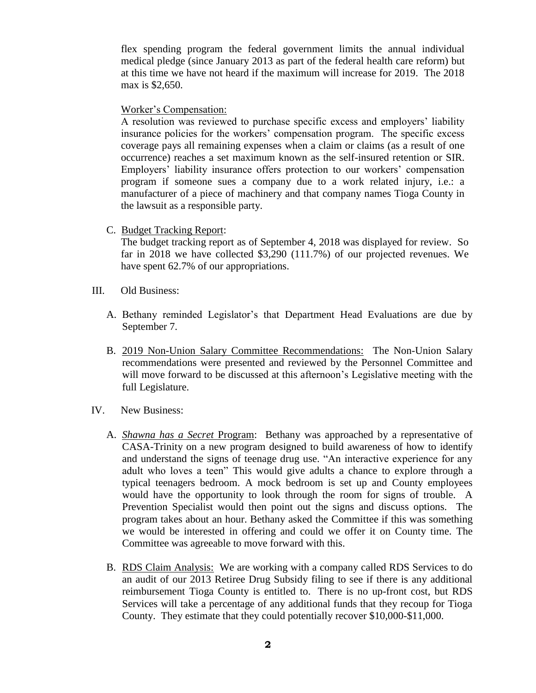flex spending program the federal government limits the annual individual medical pledge (since January 2013 as part of the federal health care reform) but at this time we have not heard if the maximum will increase for 2019. The 2018 max is \$2,650.

Worker's Compensation:

A resolution was reviewed to purchase specific excess and employers' liability insurance policies for the workers' compensation program. The specific excess coverage pays all remaining expenses when a claim or claims (as a result of one occurrence) reaches a set maximum known as the self-insured retention or SIR. Employers' liability insurance offers protection to our workers' compensation program if someone sues a company due to a work related injury, i.e.: a manufacturer of a piece of machinery and that company names Tioga County in the lawsuit as a responsible party.

C. Budget Tracking Report:

The budget tracking report as of September 4, 2018 was displayed for review. So far in 2018 we have collected \$3,290 (111.7%) of our projected revenues. We have spent 62.7% of our appropriations.

- III. Old Business:
	- A. Bethany reminded Legislator's that Department Head Evaluations are due by September 7.
	- B. 2019 Non-Union Salary Committee Recommendations: The Non-Union Salary recommendations were presented and reviewed by the Personnel Committee and will move forward to be discussed at this afternoon's Legislative meeting with the full Legislature.
- IV. New Business:
	- A. *Shawna has a Secret* Program: Bethany was approached by a representative of CASA-Trinity on a new program designed to build awareness of how to identify and understand the signs of teenage drug use. "An interactive experience for any adult who loves a teen" This would give adults a chance to explore through a typical teenagers bedroom. A mock bedroom is set up and County employees would have the opportunity to look through the room for signs of trouble. A Prevention Specialist would then point out the signs and discuss options. The program takes about an hour. Bethany asked the Committee if this was something we would be interested in offering and could we offer it on County time. The Committee was agreeable to move forward with this.
	- B. RDS Claim Analysis: We are working with a company called RDS Services to do an audit of our 2013 Retiree Drug Subsidy filing to see if there is any additional reimbursement Tioga County is entitled to. There is no up-front cost, but RDS Services will take a percentage of any additional funds that they recoup for Tioga County. They estimate that they could potentially recover \$10,000-\$11,000.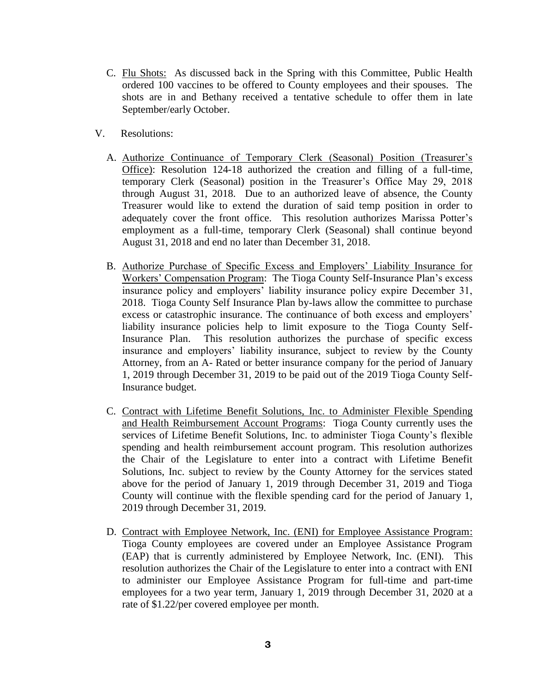- C. Flu Shots: As discussed back in the Spring with this Committee, Public Health ordered 100 vaccines to be offered to County employees and their spouses. The shots are in and Bethany received a tentative schedule to offer them in late September/early October.
- V. Resolutions:
	- A. Authorize Continuance of Temporary Clerk (Seasonal) Position (Treasurer's Office): Resolution 124-18 authorized the creation and filling of a full-time, temporary Clerk (Seasonal) position in the Treasurer's Office May 29, 2018 through August 31, 2018. Due to an authorized leave of absence, the County Treasurer would like to extend the duration of said temp position in order to adequately cover the front office. This resolution authorizes Marissa Potter's employment as a full-time, temporary Clerk (Seasonal) shall continue beyond August 31, 2018 and end no later than December 31, 2018.
	- B. Authorize Purchase of Specific Excess and Employers' Liability Insurance for Workers' Compensation Program: The Tioga County Self-Insurance Plan's excess insurance policy and employers' liability insurance policy expire December 31, 2018. Tioga County Self Insurance Plan by-laws allow the committee to purchase excess or catastrophic insurance. The continuance of both excess and employers' liability insurance policies help to limit exposure to the Tioga County Self-Insurance Plan. This resolution authorizes the purchase of specific excess insurance and employers' liability insurance, subject to review by the County Attorney, from an A- Rated or better insurance company for the period of January 1, 2019 through December 31, 2019 to be paid out of the 2019 Tioga County Self-Insurance budget.
	- C. Contract with Lifetime Benefit Solutions, Inc. to Administer Flexible Spending and Health Reimbursement Account Programs: Tioga County currently uses the services of Lifetime Benefit Solutions, Inc. to administer Tioga County's flexible spending and health reimbursement account program. This resolution authorizes the Chair of the Legislature to enter into a contract with Lifetime Benefit Solutions, Inc. subject to review by the County Attorney for the services stated above for the period of January 1, 2019 through December 31, 2019 and Tioga County will continue with the flexible spending card for the period of January 1, 2019 through December 31, 2019.
	- D. Contract with Employee Network, Inc. (ENI) for Employee Assistance Program: Tioga County employees are covered under an Employee Assistance Program (EAP) that is currently administered by Employee Network, Inc. (ENI). This resolution authorizes the Chair of the Legislature to enter into a contract with ENI to administer our Employee Assistance Program for full-time and part-time employees for a two year term, January 1, 2019 through December 31, 2020 at a rate of \$1.22/per covered employee per month.